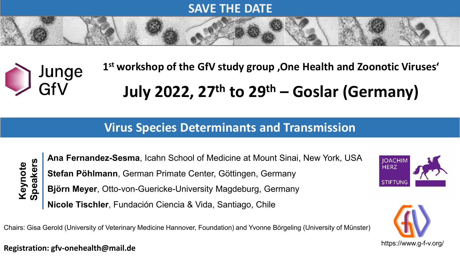### **SAVE THE DATE**

# **1st workshop of the GfV study group 'One Health and Zoonotic Viruses'**  Junge<br>GfV **July 2022, 27th to 29th – Goslar (Germany)**

## **Virus Species Determinants and Transmission**



**Ana Fernandez-Sesma**, Icahn School of Medicine at Mount Sinai, New York, USA **Stefan Pöhlmann**, German Primate Center, Göttingen, Germany **Björn Meyer**, Otto-von-Guericke-University Magdeburg, Germany **Nicole Tischler**, Fundación Ciencia & Vida, Santiago, Chile Chairs: Gisa Gerold (University of Veterinary Medicine Hannover, Foundation) and Yvonne Börgeling (University of Münster)<br>Chairs: Gisa Gerold (University of Veterinary Medicine Hannover, Foundation) and Yvonne Börgeling (U





### https://www.g-f-v.org/ **Registration: gfv-onehealth@mail.de**